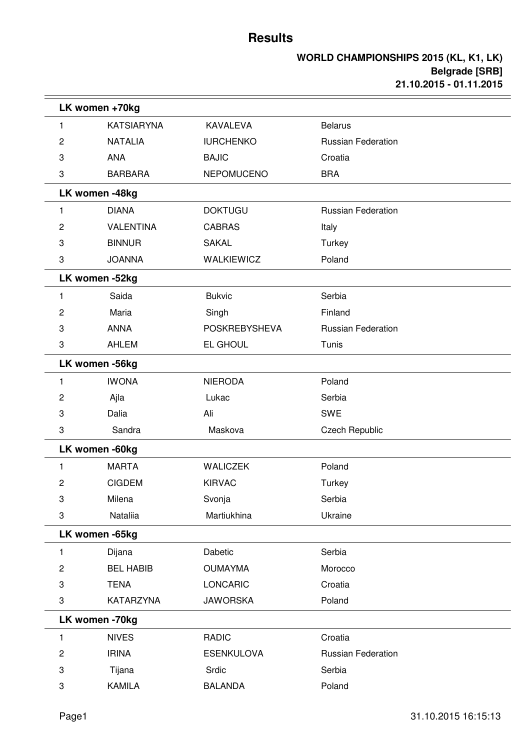$=$ 

|                | LK women +70kg    |                      |                           |  |
|----------------|-------------------|----------------------|---------------------------|--|
| 1              | <b>KATSIARYNA</b> | <b>KAVALEVA</b>      | <b>Belarus</b>            |  |
| 2              | <b>NATALIA</b>    | <b>IURCHENKO</b>     | <b>Russian Federation</b> |  |
| 3              | <b>ANA</b>        | <b>BAJIC</b>         | Croatia                   |  |
| 3              | <b>BARBARA</b>    | <b>NEPOMUCENO</b>    | <b>BRA</b>                |  |
|                | LK women -48kg    |                      |                           |  |
| 1              | <b>DIANA</b>      | <b>DOKTUGU</b>       | <b>Russian Federation</b> |  |
| 2              | <b>VALENTINA</b>  | <b>CABRAS</b>        | Italy                     |  |
| 3              | <b>BINNUR</b>     | <b>SAKAL</b>         | Turkey                    |  |
| 3              | <b>JOANNA</b>     | <b>WALKIEWICZ</b>    | Poland                    |  |
|                | LK women -52kg    |                      |                           |  |
| 1              | Saida             | <b>Bukvic</b>        | Serbia                    |  |
| 2              | Maria             | Singh                | Finland                   |  |
| 3              | <b>ANNA</b>       | <b>POSKREBYSHEVA</b> | <b>Russian Federation</b> |  |
| 3              | AHLEM             | EL GHOUL             | Tunis                     |  |
|                | LK women -56kg    |                      |                           |  |
| 1              | <b>IWONA</b>      | <b>NIERODA</b>       | Poland                    |  |
| 2              | Ajla              | Lukac                | Serbia                    |  |
| 3              | Dalia             | Ali                  | <b>SWE</b>                |  |
| 3              | Sandra            | Maskova              | <b>Czech Republic</b>     |  |
|                | LK women -60kg    |                      |                           |  |
| 1              | <b>MARTA</b>      | <b>WALICZEK</b>      | Poland                    |  |
| 2              | <b>CIGDEM</b>     | <b>KIRVAC</b>        | Turkey                    |  |
| 3              | Milena            | Svonja               | Serbia                    |  |
| 3              | Nataliia          | Martiukhina          | Ukraine                   |  |
|                | LK women -65kg    |                      |                           |  |
| 1              | Dijana            | Dabetic              | Serbia                    |  |
| $\overline{c}$ | <b>BEL HABIB</b>  | <b>OUMAYMA</b>       | Morocco                   |  |
| 3              | <b>TENA</b>       | <b>LONCARIC</b>      | Croatia                   |  |
| 3              | <b>KATARZYNA</b>  | <b>JAWORSKA</b>      | Poland                    |  |
|                | LK women -70kg    |                      |                           |  |
| 1              | <b>NIVES</b>      | <b>RADIC</b>         | Croatia                   |  |
| $\overline{c}$ | <b>IRINA</b>      | <b>ESENKULOVA</b>    | <b>Russian Federation</b> |  |
| 3              | Tijana            | Srdic                | Serbia                    |  |
| 3              | <b>KAMILA</b>     | <b>BALANDA</b>       | Poland                    |  |
|                |                   |                      |                           |  |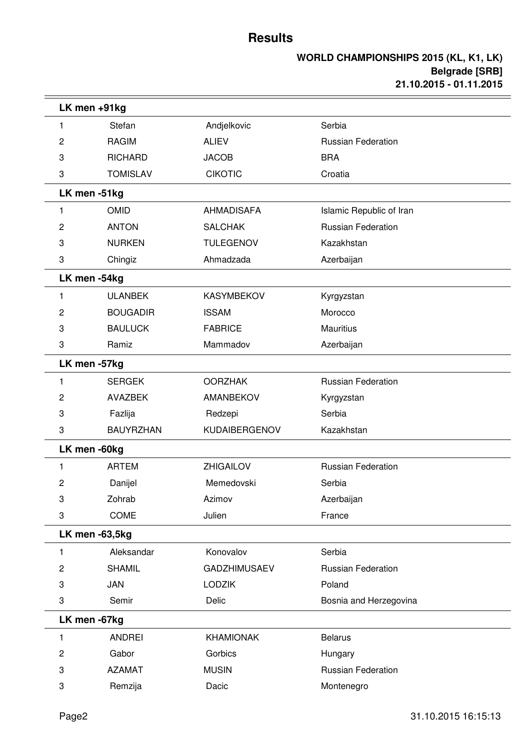|   | LK men +91kg     |                      |                           |  |
|---|------------------|----------------------|---------------------------|--|
| 1 | Stefan           | Andjelkovic          | Serbia                    |  |
| 2 | <b>RAGIM</b>     | <b>ALIEV</b>         | <b>Russian Federation</b> |  |
| 3 | <b>RICHARD</b>   | <b>JACOB</b>         | <b>BRA</b>                |  |
| 3 | <b>TOMISLAV</b>  | <b>CIKOTIC</b>       | Croatia                   |  |
|   | LK men -51kg     |                      |                           |  |
| 1 | <b>OMID</b>      | <b>AHMADISAFA</b>    | Islamic Republic of Iran  |  |
| 2 | <b>ANTON</b>     | <b>SALCHAK</b>       | <b>Russian Federation</b> |  |
| 3 | <b>NURKEN</b>    | <b>TULEGENOV</b>     | Kazakhstan                |  |
| 3 | Chingiz          | Ahmadzada            | Azerbaijan                |  |
|   | LK men -54kg     |                      |                           |  |
| 1 | <b>ULANBEK</b>   | <b>KASYMBEKOV</b>    | Kyrgyzstan                |  |
| 2 | <b>BOUGADIR</b>  | <b>ISSAM</b>         | Morocco                   |  |
| 3 | <b>BAULUCK</b>   | <b>FABRICE</b>       | <b>Mauritius</b>          |  |
| 3 | Ramiz            | Mammadov             | Azerbaijan                |  |
|   | LK men -57kg     |                      |                           |  |
| 1 | <b>SERGEK</b>    | <b>OORZHAK</b>       | <b>Russian Federation</b> |  |
| 2 | <b>AVAZBEK</b>   | AMANBEKOV            | Kyrgyzstan                |  |
| 3 | Fazlija          | Redzepi              | Serbia                    |  |
| 3 | <b>BAUYRZHAN</b> | <b>KUDAIBERGENOV</b> | Kazakhstan                |  |
|   | LK men -60kg     |                      |                           |  |
| 1 | <b>ARTEM</b>     | <b>ZHIGAILOV</b>     | <b>Russian Federation</b> |  |
| 2 | Danijel          | Memedovski           | Serbia                    |  |
| 3 | Zohrab           | Azimov               | Azerbaijan                |  |
| 3 | COME             | Julien               | France                    |  |
|   | LK men -63,5kg   |                      |                           |  |
| 1 | Aleksandar       | Konovalov            | Serbia                    |  |
| 2 | <b>SHAMIL</b>    | <b>GADZHIMUSAEV</b>  | <b>Russian Federation</b> |  |
| 3 | JAN              | <b>LODZIK</b>        | Poland                    |  |
| 3 | Semir            | Delic                | Bosnia and Herzegovina    |  |
|   | LK men -67kg     |                      |                           |  |
| 1 | <b>ANDREI</b>    | KHAMIONAK            | <b>Belarus</b>            |  |
| 2 | Gabor            | Gorbics              | Hungary                   |  |
| 3 | <b>AZAMAT</b>    | <b>MUSIN</b>         | <b>Russian Federation</b> |  |
| 3 | Remzija          | Dacic                | Montenegro                |  |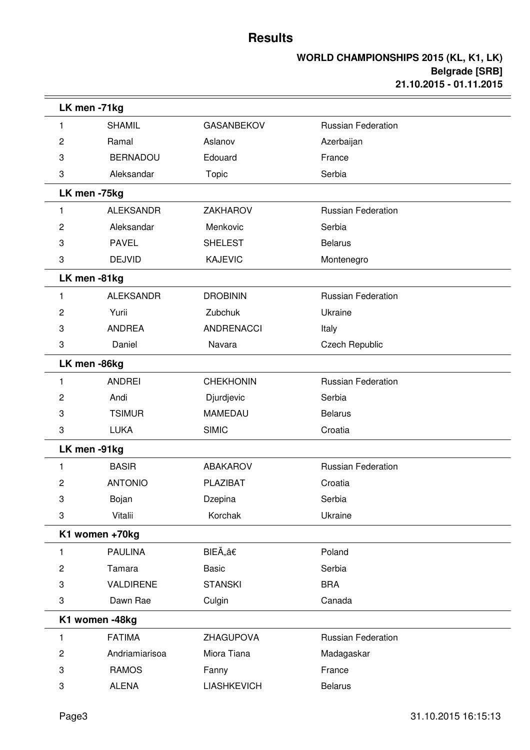|   | LK men -71kg     |                    |                           |  |  |
|---|------------------|--------------------|---------------------------|--|--|
| 1 | <b>SHAMIL</b>    | <b>GASANBEKOV</b>  | <b>Russian Federation</b> |  |  |
| 2 | Ramal            | Aslanov            | Azerbaijan                |  |  |
| 3 | <b>BERNADOU</b>  | Edouard            | France                    |  |  |
| 3 | Aleksandar       | Topic              | Serbia                    |  |  |
|   | LK men -75kg     |                    |                           |  |  |
| 1 | <b>ALEKSANDR</b> | <b>ZAKHAROV</b>    | <b>Russian Federation</b> |  |  |
| 2 | Aleksandar       | Menkovic           | Serbia                    |  |  |
| 3 | <b>PAVEL</b>     | <b>SHELEST</b>     | <b>Belarus</b>            |  |  |
| 3 | <b>DEJVID</b>    | <b>KAJEVIC</b>     | Montenegro                |  |  |
|   | LK men-81kg      |                    |                           |  |  |
| 1 | <b>ALEKSANDR</b> | <b>DROBININ</b>    | <b>Russian Federation</b> |  |  |
| 2 | Yurii            | Zubchuk            | Ukraine                   |  |  |
| 3 | <b>ANDREA</b>    | <b>ANDRENACCI</b>  | Italy                     |  |  |
| 3 | Daniel           | Navara             | Czech Republic            |  |  |
|   | LK men -86kg     |                    |                           |  |  |
| 1 | <b>ANDREI</b>    | <b>CHEKHONIN</b>   | <b>Russian Federation</b> |  |  |
| 2 | Andi             | Djurdjevic         | Serbia                    |  |  |
| 3 | <b>TSIMUR</b>    | <b>MAMEDAU</b>     | <b>Belarus</b>            |  |  |
| 3 | <b>LUKA</b>      | <b>SIMIC</b>       | Croatia                   |  |  |
|   | LK men -91kg     |                    |                           |  |  |
| 1 | <b>BASIR</b>     | <b>ABAKAROV</b>    | <b>Russian Federation</b> |  |  |
| 2 | <b>ANTONIO</b>   | PLAZIBAT           | Croatia                   |  |  |
| 3 | Bojan            | Dzepina            | Serbia                    |  |  |
| 3 | Vitalii          | Korchak            | Ukraine                   |  |  |
|   | K1 women +70kg   |                    |                           |  |  |
| 1 | <b>PAULINA</b>   | BIEÄâ€             | Poland                    |  |  |
| 2 | Tamara           | <b>Basic</b>       | Serbia                    |  |  |
| 3 | VALDIRENE        | <b>STANSKI</b>     | <b>BRA</b>                |  |  |
| 3 | Dawn Rae         | Culgin             | Canada                    |  |  |
|   | K1 women -48kg   |                    |                           |  |  |
| 1 | <b>FATIMA</b>    | ZHAGUPOVA          | <b>Russian Federation</b> |  |  |
| 2 | Andriamiarisoa   | Miora Tiana        | Madagaskar                |  |  |
| 3 | <b>RAMOS</b>     | Fanny              | France                    |  |  |
| 3 | <b>ALENA</b>     | <b>LIASHKEVICH</b> | <b>Belarus</b>            |  |  |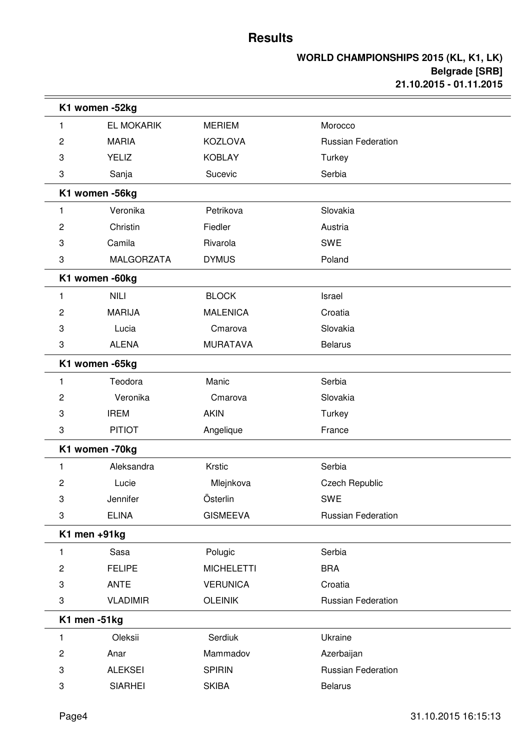| K1 women -52kg |                   |                   |                           |  |  |
|----------------|-------------------|-------------------|---------------------------|--|--|
| 1              | EL MOKARIK        | <b>MERIEM</b>     | Morocco                   |  |  |
| 2              | <b>MARIA</b>      | <b>KOZLOVA</b>    | <b>Russian Federation</b> |  |  |
| 3              | <b>YELIZ</b>      | <b>KOBLAY</b>     | Turkey                    |  |  |
| 3              | Sanja             | Sucevic           | Serbia                    |  |  |
|                | K1 women -56kg    |                   |                           |  |  |
| 1              | Veronika          | Petrikova         | Slovakia                  |  |  |
| 2              | Christin          | Fiedler           | Austria                   |  |  |
| 3              | Camila            | Rivarola          | <b>SWE</b>                |  |  |
| 3              | <b>MALGORZATA</b> | <b>DYMUS</b>      | Poland                    |  |  |
|                | K1 women -60kg    |                   |                           |  |  |
| 1              | <b>NILI</b>       | <b>BLOCK</b>      | Israel                    |  |  |
| 2              | <b>MARIJA</b>     | <b>MALENICA</b>   | Croatia                   |  |  |
| 3              | Lucia             | Cmarova           | Slovakia                  |  |  |
| 3              | <b>ALENA</b>      | <b>MURATAVA</b>   | <b>Belarus</b>            |  |  |
|                | K1 women -65kg    |                   |                           |  |  |
| 1              | Teodora           | Manic             | Serbia                    |  |  |
| 2              | Veronika          | Cmarova           | Slovakia                  |  |  |
| 3              | <b>IREM</b>       | <b>AKIN</b>       | Turkey                    |  |  |
| 3              | <b>PITIOT</b>     | Angelique         | France                    |  |  |
|                | K1 women -70kg    |                   |                           |  |  |
| 1              | Aleksandra        | Krstic            | Serbia                    |  |  |
| 2              | Lucie             | Mlejnkova         | <b>Czech Republic</b>     |  |  |
| 3              | Jennifer          | Österlin          | SWE                       |  |  |
| 3              | <b>ELINA</b>      | <b>GISMEEVA</b>   | <b>Russian Federation</b> |  |  |
|                | K1 men +91kg      |                   |                           |  |  |
| 1              | Sasa              | Polugic           | Serbia                    |  |  |
| $\overline{c}$ | <b>FELIPE</b>     | <b>MICHELETTI</b> | <b>BRA</b>                |  |  |
| 3              | <b>ANTE</b>       | <b>VERUNICA</b>   | Croatia                   |  |  |
| 3              | <b>VLADIMIR</b>   | <b>OLEINIK</b>    | Russian Federation        |  |  |
|                | K1 men -51kg      |                   |                           |  |  |
| 1              | Oleksii           | Serdiuk           | Ukraine                   |  |  |
| 2              | Anar              | Mammadov          | Azerbaijan                |  |  |
| 3              | <b>ALEKSEI</b>    | <b>SPIRIN</b>     | <b>Russian Federation</b> |  |  |
| 3              | <b>SIARHEI</b>    | <b>SKIBA</b>      | <b>Belarus</b>            |  |  |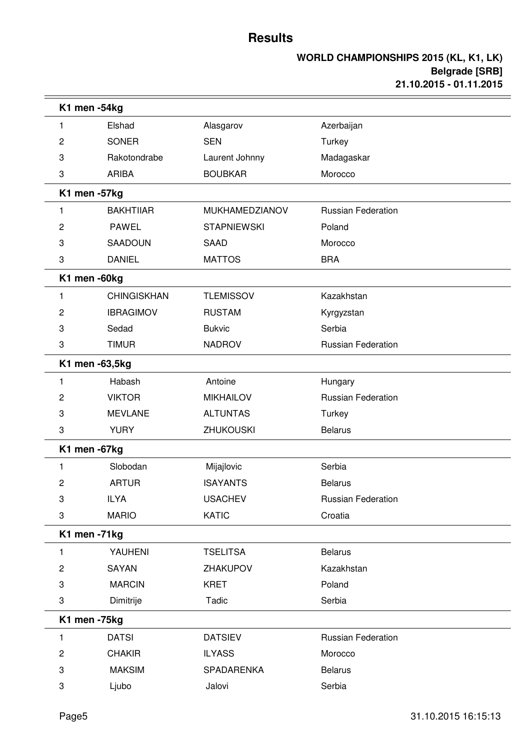|                | K1 men -54kg       |                    |                           |
|----------------|--------------------|--------------------|---------------------------|
| 1              | Elshad             | Alasgarov          | Azerbaijan                |
| 2              | <b>SONER</b>       | <b>SEN</b>         | Turkey                    |
| 3              | Rakotondrabe       | Laurent Johnny     | Madagaskar                |
| 3              | <b>ARIBA</b>       | <b>BOUBKAR</b>     | Morocco                   |
|                | K1 men -57kg       |                    |                           |
| 1              | <b>BAKHTIIAR</b>   | MUKHAMEDZIANOV     | <b>Russian Federation</b> |
| 2              | <b>PAWEL</b>       | <b>STAPNIEWSKI</b> | Poland                    |
| 3              | SAADOUN            | <b>SAAD</b>        | Morocco                   |
| 3              | <b>DANIEL</b>      | <b>MATTOS</b>      | <b>BRA</b>                |
|                | K1 men -60kg       |                    |                           |
| 1              | <b>CHINGISKHAN</b> | <b>TLEMISSOV</b>   | Kazakhstan                |
| 2              | <b>IBRAGIMOV</b>   | <b>RUSTAM</b>      | Kyrgyzstan                |
| 3              | Sedad              | <b>Bukvic</b>      | Serbia                    |
| 3              | <b>TIMUR</b>       | <b>NADROV</b>      | <b>Russian Federation</b> |
|                | K1 men -63,5kg     |                    |                           |
| 1              | Habash             | Antoine            | Hungary                   |
| 2              | <b>VIKTOR</b>      | <b>MIKHAILOV</b>   | <b>Russian Federation</b> |
| 3              | <b>MEVLANE</b>     | <b>ALTUNTAS</b>    | Turkey                    |
| 3              | <b>YURY</b>        | <b>ZHUKOUSKI</b>   | <b>Belarus</b>            |
|                | K1 men -67kg       |                    |                           |
| 1              | Slobodan           | Mijajlovic         | Serbia                    |
| 2              | <b>ARTUR</b>       | <b>ISAYANTS</b>    | <b>Belarus</b>            |
| 3              | <b>ILYA</b>        | <b>USACHEV</b>     | Russian Federation        |
| 3              | <b>MARIO</b>       | <b>KATIC</b>       | Croatia                   |
|                | K1 men -71kg       |                    |                           |
| 1              | YAUHENI            | <b>TSELITSA</b>    | <b>Belarus</b>            |
| 2              | <b>SAYAN</b>       | ZHAKUPOV           | Kazakhstan                |
| 3              | <b>MARCIN</b>      | <b>KRET</b>        | Poland                    |
| 3              | Dimitrije          | Tadic              | Serbia                    |
|                | K1 men -75kg       |                    |                           |
| 1              | <b>DATSI</b>       | <b>DATSIEV</b>     | Russian Federation        |
| $\overline{c}$ | <b>CHAKIR</b>      | <b>ILYASS</b>      | Morocco                   |
| 3              | <b>MAKSIM</b>      | SPADARENKA         | <b>Belarus</b>            |
| 3              | Ljubo              | Jalovi             | Serbia                    |
|                |                    |                    |                           |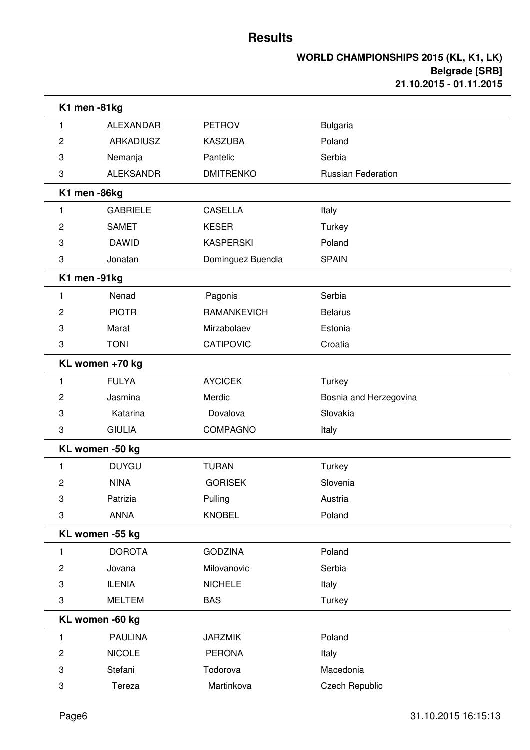|   | K1 men -81kg     |                    |                           |  |
|---|------------------|--------------------|---------------------------|--|
| 1 | <b>ALEXANDAR</b> | <b>PETROV</b>      | <b>Bulgaria</b>           |  |
| 2 | <b>ARKADIUSZ</b> | <b>KASZUBA</b>     | Poland                    |  |
| 3 | Nemanja          | Pantelic           | Serbia                    |  |
| 3 | <b>ALEKSANDR</b> | <b>DMITRENKO</b>   | <b>Russian Federation</b> |  |
|   | K1 men -86kg     |                    |                           |  |
| 1 | <b>GABRIELE</b>  | <b>CASELLA</b>     | Italy                     |  |
| 2 | <b>SAMET</b>     | <b>KESER</b>       | Turkey                    |  |
| 3 | <b>DAWID</b>     | <b>KASPERSKI</b>   | Poland                    |  |
| 3 | Jonatan          | Dominguez Buendia  | <b>SPAIN</b>              |  |
|   | K1 men -91kg     |                    |                           |  |
| 1 | Nenad            | Pagonis            | Serbia                    |  |
| 2 | <b>PIOTR</b>     | <b>RAMANKEVICH</b> | <b>Belarus</b>            |  |
| 3 | Marat            | Mirzabolaev        | Estonia                   |  |
| 3 | <b>TONI</b>      | <b>CATIPOVIC</b>   | Croatia                   |  |
|   | KL women +70 kg  |                    |                           |  |
| 1 | <b>FULYA</b>     | <b>AYCICEK</b>     | Turkey                    |  |
| 2 | Jasmina          | Merdic             | Bosnia and Herzegovina    |  |
| 3 | Katarina         | Dovalova           | Slovakia                  |  |
| 3 | <b>GIULIA</b>    | <b>COMPAGNO</b>    | Italy                     |  |
|   | KL women -50 kg  |                    |                           |  |
| 1 | <b>DUYGU</b>     | <b>TURAN</b>       | Turkey                    |  |
| 2 | <b>NINA</b>      | <b>GORISEK</b>     | Slovenia                  |  |
| 3 | Patrizia         | Pulling            | Austria                   |  |
| 3 | <b>ANNA</b>      | <b>KNOBEL</b>      | Poland                    |  |
|   | KL women -55 kg  |                    |                           |  |
| 1 | <b>DOROTA</b>    | <b>GODZINA</b>     | Poland                    |  |
| 2 | Jovana           | Milovanovic        | Serbia                    |  |
| 3 | <b>ILENIA</b>    | <b>NICHELE</b>     | Italy                     |  |
| 3 | <b>MELTEM</b>    | <b>BAS</b>         | Turkey                    |  |
|   | KL women -60 kg  |                    |                           |  |
| 1 | <b>PAULINA</b>   | <b>JARZMIK</b>     | Poland                    |  |
| 2 | <b>NICOLE</b>    | <b>PERONA</b>      | Italy                     |  |
| 3 | Stefani          | Todorova           | Macedonia                 |  |
| 3 | Tereza           | Martinkova         | <b>Czech Republic</b>     |  |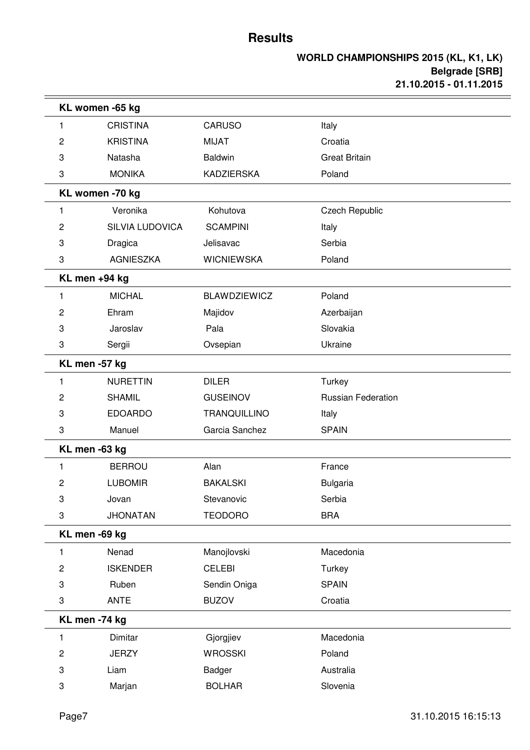|                | KL women -65 kg        |                     |                           |  |
|----------------|------------------------|---------------------|---------------------------|--|
| 1              | <b>CRISTINA</b>        | <b>CARUSO</b>       | Italy                     |  |
| 2              | <b>KRISTINA</b>        | <b>MIJAT</b>        | Croatia                   |  |
| 3              | Natasha                | <b>Baldwin</b>      | <b>Great Britain</b>      |  |
| 3              | <b>MONIKA</b>          | <b>KADZIERSKA</b>   | Poland                    |  |
|                | KL women -70 kg        |                     |                           |  |
| 1              | Veronika               | Kohutova            | <b>Czech Republic</b>     |  |
| 2              | <b>SILVIA LUDOVICA</b> | <b>SCAMPINI</b>     | Italy                     |  |
| 3              | Dragica                | Jelisavac           | Serbia                    |  |
| 3              | <b>AGNIESZKA</b>       | <b>WICNIEWSKA</b>   | Poland                    |  |
|                | KL men +94 kg          |                     |                           |  |
| 1              | <b>MICHAL</b>          | <b>BLAWDZIEWICZ</b> | Poland                    |  |
| 2              | Ehram                  | Majidov             | Azerbaijan                |  |
| 3              | Jaroslav               | Pala                | Slovakia                  |  |
| 3              | Sergii                 | Ovsepian            | Ukraine                   |  |
|                | KL men -57 kg          |                     |                           |  |
| 1              | <b>NURETTIN</b>        | <b>DILER</b>        | Turkey                    |  |
| 2              | <b>SHAMIL</b>          | <b>GUSEINOV</b>     | <b>Russian Federation</b> |  |
| 3              | <b>EDOARDO</b>         | <b>TRANQUILLINO</b> | Italy                     |  |
| 3              | Manuel                 | Garcia Sanchez      | <b>SPAIN</b>              |  |
|                | KL men -63 kg          |                     |                           |  |
| 1              | <b>BERROU</b>          | Alan                | France                    |  |
| 2              | <b>LUBOMIR</b>         | <b>BAKALSKI</b>     | <b>Bulgaria</b>           |  |
| 3              | Jovan                  | Stevanovic          | Serbia                    |  |
| 3              | <b>JHONATAN</b>        | <b>TEODORO</b>      | <b>BRA</b>                |  |
|                | KL men -69 kg          |                     |                           |  |
| 1              | Nenad                  | Manojlovski         | Macedonia                 |  |
| $\overline{c}$ | <b>ISKENDER</b>        | <b>CELEBI</b>       | Turkey                    |  |
| 3              | Ruben                  | Sendin Oniga        | <b>SPAIN</b>              |  |
| 3              | <b>ANTE</b>            | <b>BUZOV</b>        | Croatia                   |  |
|                | KL men -74 kg          |                     |                           |  |
| 1              | Dimitar                | Gjorgjiev           | Macedonia                 |  |
| 2              | <b>JERZY</b>           | <b>WROSSKI</b>      | Poland                    |  |
| 3              | Liam                   | Badger              | Australia                 |  |
| 3              | Marjan                 | <b>BOLHAR</b>       | Slovenia                  |  |